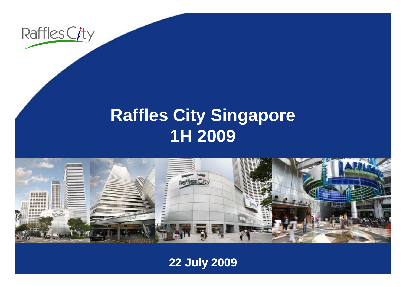

# **R ffl Cit Si affles City Singapore 1H 2009**



**22 July 2009**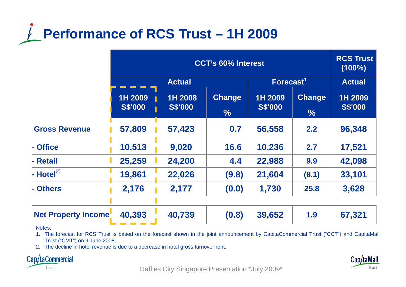

|                            | <b>CCT's 60% Interest</b> |                           |                                |                           |                                | <b>RCS Trust</b><br>$(100\%)$ |
|----------------------------|---------------------------|---------------------------|--------------------------------|---------------------------|--------------------------------|-------------------------------|
|                            | <b>Actual</b>             |                           |                                | Forecast <sup>1</sup>     |                                | <b>Actual</b>                 |
|                            | 1H 2009<br><b>S\$'000</b> | 1H 2008<br><b>S\$'000</b> | <b>Change</b><br>$\frac{9}{6}$ | 1H 2009<br><b>S\$'000</b> | <b>Change</b><br>$\frac{0}{0}$ | 1H 2009<br><b>S\$'000</b>     |
| <b>Gross Revenue</b>       | 57,809                    | 57,423                    | 0.7                            | 56,558                    | 2.2                            | 96,348                        |
| <b>Office</b>              | 10,513                    | 9,020                     | 16.6                           | 10,236                    | 2.7                            | 17,521                        |
| <b>Retail</b>              | 25,259                    | 24,200                    | 4.4                            | 22,988                    | 9.9                            | 42,098                        |
| $H$ otel $^{(2)}$          | 19,861                    | 22,026                    | (9.8)                          | 21,604                    | (8.1)                          | 33,101                        |
| <b>Others</b>              | 2,176                     | 2,177                     | (0.0)                          | 1,730                     | 25.8                           | 3,628                         |
| <b>Net Property Income</b> | 40,393                    | 40,739                    | (0.8)                          | 39,652                    | 1.9                            | 67,321                        |

Notes:

1. The forecast for RCS Trust is based on the forecast shown in the joint announcement by CapitaCommercial Trust ("CCT") and CapitaMall Trust ("CMT") on 9 June 2008.

2. The decline in hotel revenue is due to <sup>a</sup> decrease in hotel gross turnover rent.



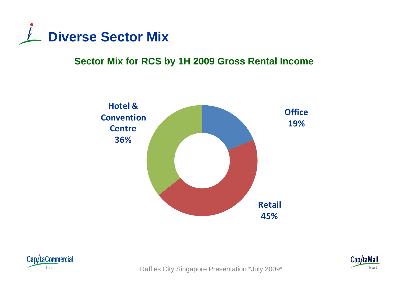

# **Sector Mix for RCS by 1H 2009 Gross Rental Income**





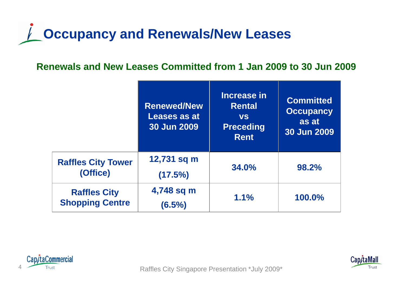# **Occupancy and Renewals/New Leases**

# **Renewals and New Leases Committed from 1 Jan 2009 to 30 Jun 2009**

|                                               | <b>Renewed/New</b><br>Leases as at<br><b>30 Jun 2009</b> | Increase in<br><b>Rental</b><br><b>VS</b><br><b>Preceding</b><br><b>Rent</b> | <b>Committed</b><br><b>Occupancy</b><br>as at<br>30 Jun 2009 |
|-----------------------------------------------|----------------------------------------------------------|------------------------------------------------------------------------------|--------------------------------------------------------------|
| <b>Raffles City Tower</b><br>(Office)         | 12,731 sq m<br>(17.5%)                                   | 34.0%                                                                        | 98.2%                                                        |
| <b>Raffles City</b><br><b>Shopping Centre</b> | 4,748 sq m<br>$(6.5\%)$                                  | 1.1%                                                                         | 100.0%                                                       |



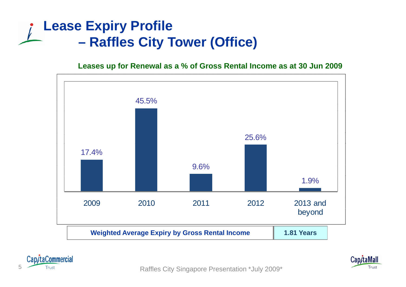## **Lease Expiry Profile –Raffles City Tower (Office)**

**Leases up for Renewal as a % of Gross Rental Income as at 30 Jun 2009**







Trust Trust Trust City Singapore Presentation \*July 2009\*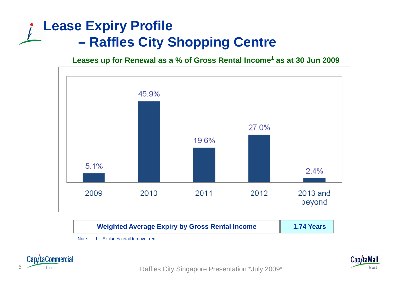# **Lease Expiry Profile –Raffles City Shopping Centre**

**Leases up for Renewal as a % of Gross Rental Income<sup>1</sup> as at 30 Jun 2009**



Note: 1. Excludes retail turnover rent.



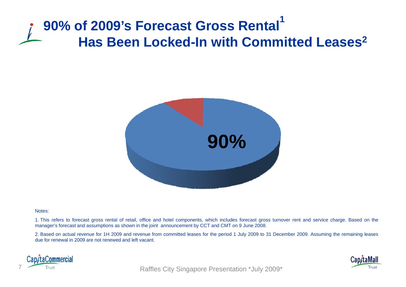# **90% of 2009's Forecast Gross Rental 1 Has Been Locked-In with Committed Leases <sup>2</sup> In Committed**



#### Notes:

1. This refers to forecast gross rental of retail, office and hotel components, which includes forecast gross turnover rent and service charge. Based on the manager's forecast and assumptions as shown in the joint announcement by CCT and CMT on 9 June 2008.

2. Based on actual revenue for 1H 2009 and revenue from committed leases for the period 1 July 2009 to 31 December 2009. Assuming the remaining leases due for renewal in 2009 are not renewed and left vacant.



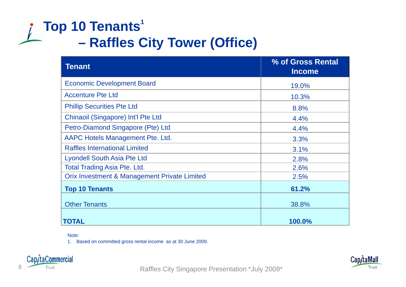# **Top 10 Tenants<sup>1</sup> –Raffles City Tower (Office)**

| <b>Tenant</b>                                | % of Gross Rental<br><b>Income</b> |
|----------------------------------------------|------------------------------------|
| <b>Economic Development Board</b>            | 19.0%                              |
| <b>Accenture Pte Ltd</b>                     | 10.3%                              |
| <b>Phillip Securities Pte Ltd</b>            | 8.8%                               |
| Chinaoil (Singapore) Int'l Pte Ltd           | 4.4%                               |
| Petro-Diamond Singapore (Pte) Ltd            | 4.4%                               |
| AAPC Hotels Management Pte. Ltd.             | 3.3%                               |
| <b>Raffles International Limited</b>         | 3.1%                               |
| <b>Lyondell South Asia Pte Ltd</b>           | 2.8%                               |
| <b>Total Trading Asia Pte. Ltd.</b>          | 2.6%                               |
| Orix Investment & Management Private Limited | 2.5%                               |
| <b>Top 10 Tenants</b>                        | 61.2%                              |
| <b>Other Tenants</b>                         | 38.8%                              |
| <b>TOTAL</b>                                 | 100.0%                             |

Note:

1. Based on committed gross rental income as at 30 June 2009.





8 Trust Trust **Raffles City Singapore Presentation \*July 2009\***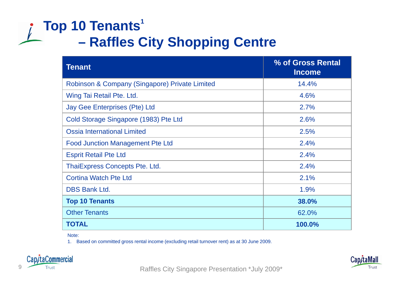# **Top 10 Tenants<sup>1</sup> –Raffles City Shopping Centre**

| <b>Tenant</b>                                  | % of Gross Rental<br><b>Income</b> |
|------------------------------------------------|------------------------------------|
| Robinson & Company (Singapore) Private Limited | 14.4%                              |
| Wing Tai Retail Pte. Ltd.                      | 4.6%                               |
| <b>Jay Gee Enterprises (Pte) Ltd</b>           | 2.7%                               |
| Cold Storage Singapore (1983) Pte Ltd          | 2.6%                               |
| <b>Ossia International Limited</b>             | 2.5%                               |
| <b>Food Junction Management Pte Ltd</b>        | 2.4%                               |
| <b>Esprit Retail Pte Ltd</b>                   | 2.4%                               |
| <b>ThaiExpress Concepts Pte. Ltd.</b>          | 2.4%                               |
| <b>Cortina Watch Pte Ltd</b>                   | 2.1%                               |
| <b>DBS Bank Ltd.</b>                           | 1.9%                               |
| <b>Top 10 Tenants</b>                          | 38.0%                              |
| <b>Other Tenants</b>                           | 62.0%                              |
| <b>TOTAL</b>                                   | 100.0%                             |

Note:

1. Based on committed gross rental income (excluding retail turnover rent) as at 30 June 2009.





9 Trust Trust **Raffles City Singapore Presentation \*July 2009\***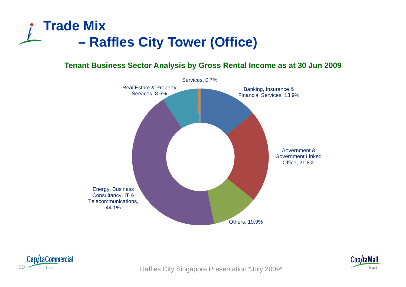### **Trade Mix –Raffles City Tower (Office)**

### **Tenant Business Sector Analysis by Gross Rental Income as at 30 Jun 2009**





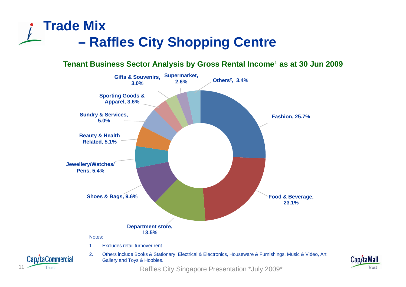## **Trade Mix –Raffles City Shopping Centre**

**Tenant Business Sector Analysis by Gross Rental Income1 as at 30 Jun 2009**



11 Trust Trust Trust City Singapore Presentation \*July 2009\*

Trust